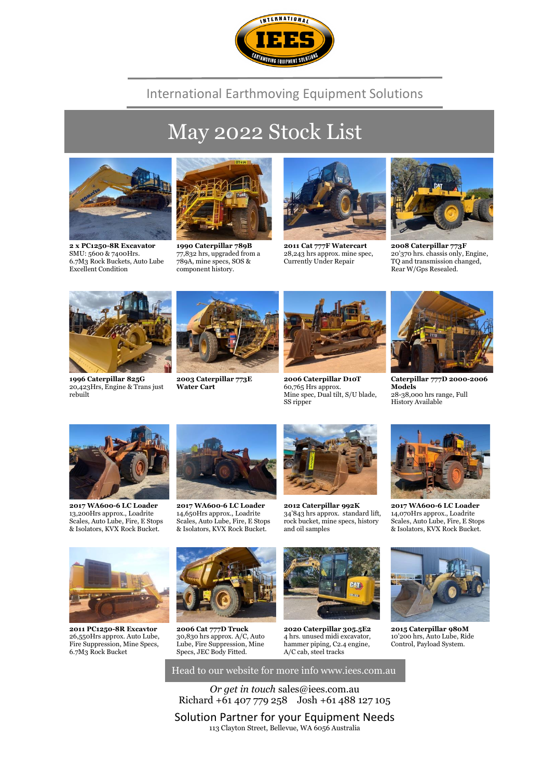

#### International Earthmoving Equipment Solutions

# May 2022 Stock List



**2 x PC1250-8R Excavator** SMU: 5600 & 7400Hrs. 6.7M3 Rock Buckets, Auto Lube Excellent Condition



**1990 Caterpillar 789B** 77,832 hrs, upgraded from a 789A, mine specs, SOS & component history.



**2011 Cat 777F Watercart** 28,243 hrs approx. mine spec, Currently Under Repair



**2008 Caterpillar 773F** 20'370 hrs. chassis only, Engine, TQ and transmission changed, Rear W/Gps Resealed.



**1996 Caterpillar 825G** 20,423Hrs, Engine & Trans just rebuilt



**2003 Caterpillar 773E Water Cart**



**2006 Caterpillar D10T** 60,765 Hrs approx. Mine spec, Dual tilt, S/U blade, SS ripper



**Caterpillar 777D 2000-2006 Models** 28-38,000 hrs range, Full History Available



**2017 WA600-6 LC Loader** 13,200Hrs approx., Loadrite Scales, Auto Lube, Fire, E Stops & Isolators, KVX Rock Bucket.



**2017 WA600-6 LC Loader** 14,650Hrs approx., Loadrite Scales, Auto Lube, Fire, E Stops & Isolators, KVX Rock Bucket.



**2012 Caterpillar 992K** 34'843 hrs approx. standard lift, rock bucket, mine specs, history and oil samples



**2017 WA600-6 LC Loader** 14,070Hrs approx., Loadrite Scales, Auto Lube, Fire, E Stops & Isolators, KVX Rock Bucket.



**2011 PC1250-8R Excavtor** 26,550Hrs approx. Auto Lube, Fire Suppression, Mine Specs, 6.7M3 Rock Bucket



**2006 Cat 777D Truck** 30,830 hrs approx. A/C, Auto Lube, Fire Suppression, Mine Specs, JEC Body Fitted.



**2020 Caterpillar 305.5E2** 4 hrs. unused midi excavator, hammer piping, C2.4 engine, A/C cab, steel tracks



**2015 Caterpillar 980M** 10'200 hrs, Auto Lube, Ride Control, Payload System.

*Or get in touch* sales@iees.com.au Richard +61 407 779 258 Josh +61 488 127 105

Head to our website for more info www.iees.com.au

Solution Partner for your Equipment Needs 113 Clayton Street, Bellevue, WA 6056 Australia